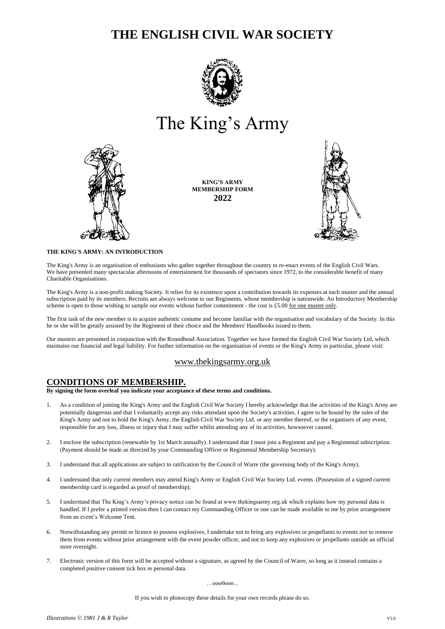# **THE ENGLISH CIVIL WAR SOCIETY**



# The King's Army



**KING'S ARMY MEMBERSHIP FORM 2022**



## **THE KING'S ARMY: AN INTRODUCTION**

The King's Army is an organisation of enthusiasts who gather together throughout the country to re-enact events of the English Civil Wars. We have presented many spectacular afternoons of entertainment for thousands of spectators since 1972, to the considerable benefit of many Charitable Organisations.

The King's Army is a non-profit making Society. It relies for its existence upon a contribution towards its expenses at each muster and the annual subscription paid by its members. Recruits are always welcome to our Regiments, whose membership is nationwide. An Introductory Membership scheme is open to those wishing to sample our events without further commitment - the cost is  $£5.00$  for one muster only.

The first task of the new member is to acquire authentic costume and become familiar with the organisation and vocabulary of the Society. In this he or she will be greatly assisted by the Regiment of their choice and the Members' Handbooks issued to them.

Our musters are presented in conjunction with the Roundhead Association. Together we have formed the English Civil War Society Ltd, which maintains our financial and legal liability. For further information on the organisation of events or the King's Army in particular, please visit:

# [www.thekingsarmy.org.uk](http://www.thekingsarmy.org.uk/)

# **CONDITIONS OF MEMBERSHIP.**

**By signing the form overleaf you indicate your acceptance of these terms and conditions.**

- 1. As a condition of joining the King's Army and the English Civil War Society I hereby acknowledge that the activities of the King's Army are potentially dangerous and that I voluntarily accept any risks attendant upon the Society's activities. I agree to be bound by the rules of the King's Army and not to hold the King's Army, the English Civil War Society Ltd. or any member thereof, or the organisers of any event, responsible for any loss, illness or injury that I may suffer whilst attending any of its activities, howsoever caused.
- 2. I enclose the subscription (renewable by 1st March annually). I understand that I must join a Regiment and pay a Regimental subscription. (Payment should be made as directed by your Commanding Officer or Regimental Membership Secretary).
- 3. I understand that all applications are subject to ratification by the Council of Warre (the governing body of the King's Army).
- 4. I understand that only current members may attend King's Army or English Civil War Society Ltd. events. (Possession of a signed current membership card is regarded as proof of membership).
- 5. I understand that The King's Army's privacy notice can be found at www.thekingsarmy.org.uk which explains how my personal data is handled. If I prefer a printed version then I can contact my Commanding Officer or one can be made available to me by prior arrangement from an event's Welcome Tent.
- 6. Notwithstanding any permit or licence to possess explosives, I undertake not to bring any explosives or propellants to events nor to remove them from events without prior arrangement with the event powder officer, and not to keep any explosives or propellants outside an official store overnight.
- 7. Electronic version of this form will be accepted without a signature, as agreed by the Council of Warre, so long as it instead contains a completed positive consent tick box re personal data.

…ooo0ooo...

If you wish to photocopy these details for your own records please do so.